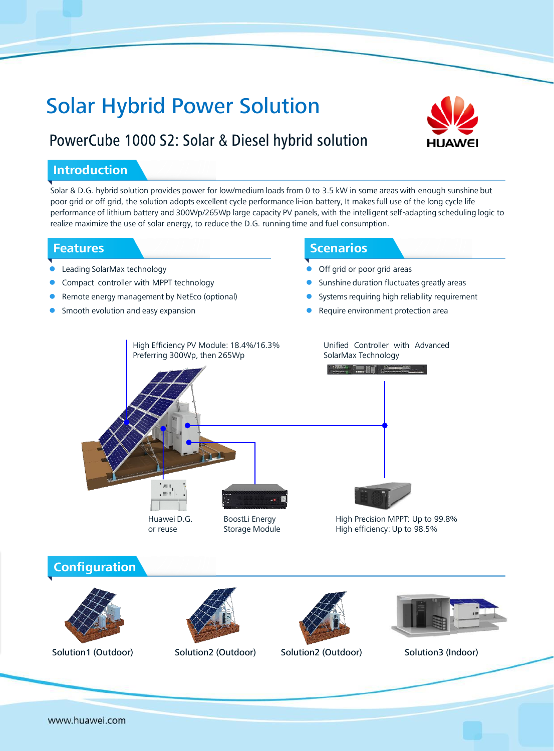# Solar Hybrid Power Solution

# PowerCube 1000 S2: Solar & Diesel hybrid solution



### **Introduction**

Solar & D.G. hybrid solution provides power for low/medium loads from 0 to 3.5 kW in some areas with enough sunshine but poor grid or off grid, the solution adopts excellent cycle performance li-ion battery, It makes full use of the long cycle life performance of lithium battery and 300Wp/265Wp large capacity PV panels, with the intelligent self-adapting scheduling logic to realize maximize the use of solar energy, to reduce the D.G. running time and fuel consumption.

### **Features**

- Leading SolarMax technology
- Compact controller with MPPT technology
- Remote energy management by NetEco (optional)
- Smooth evolution and easy expansion

## Scenarios **Scenarios**

- Off grid or poor grid areas
- Sunshine duration fluctuates greatly areas
- Systems requiring high reliability requirement
- Require environment protection area



Solution3 (Indoor) **Configuration** Solution1 (Outdoor) Solution2 (Outdoor) Solution2 (Outdoor)